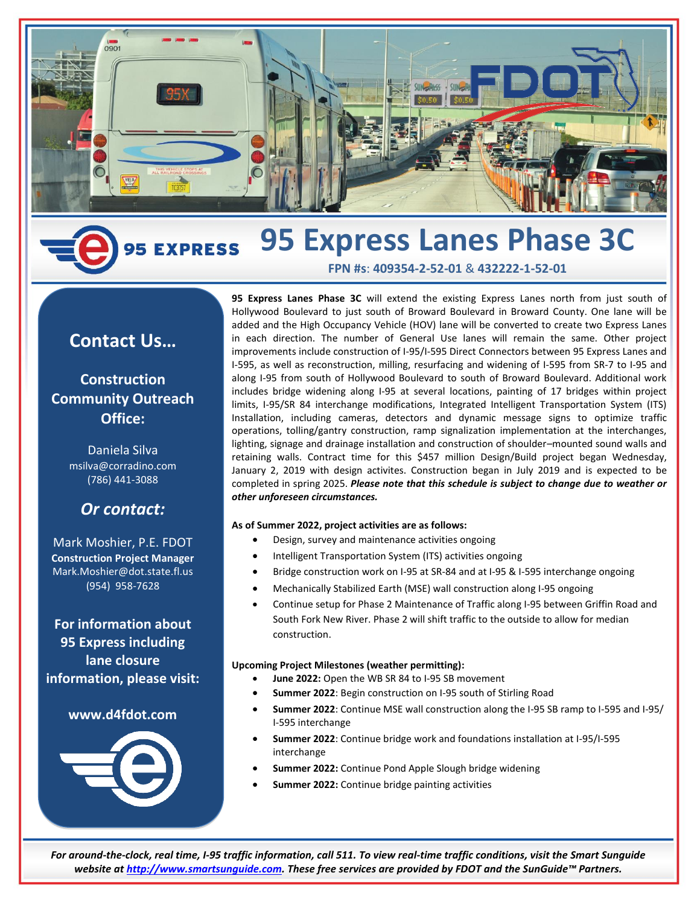

# **95 Express Lanes Phase 3C 5 EXPRESS**

# **FPN #s**: **409354-2-52-01** & **432222-1-52-01**

# **Contact Us…**

# **Construction Community Outreach Office:**

Daniela Silva msilva@corradino.com (786) 441-3088

# *Or contact:*

Mark Moshier, P.E. FDOT **Construction Project Manager** Mark.Moshier@dot.state.fl.us (954) 958-7628

**For information about 95 Express including lane closure information, please visit:**

# **www.d4fdot.com**



**95 Express Lanes Phase 3C** will extend the existing Express Lanes north from just south of Hollywood Boulevard to just south of Broward Boulevard in Broward County. One lane will be added and the High Occupancy Vehicle (HOV) lane will be converted to create two Express Lanes in each direction. The number of General Use lanes will remain the same. Other project improvements include construction of I-95/I-595 Direct Connectors between 95 Express Lanes and I-595, as well as reconstruction, milling, resurfacing and widening of I-595 from SR-7 to I-95 and along I-95 from south of Hollywood Boulevard to south of Broward Boulevard. Additional work includes bridge widening along I-95 at several locations, painting of 17 bridges within project limits, I-95/SR 84 interchange modifications, Integrated Intelligent Transportation System (ITS) Installation, including cameras, detectors and dynamic message signs to optimize traffic operations, tolling/gantry construction, ramp signalization implementation at the interchanges, lighting, signage and drainage installation and construction of shoulder–mounted sound walls and retaining walls. Contract time for this \$457 million Design/Build project began Wednesday, January 2, 2019 with design activites. Construction began in July 2019 and is expected to be completed in spring 2025. *Please note that this schedule is subject to change due to weather or other unforeseen circumstances.*

# **As of Summer 2022, project activities are as follows:**

- Design, survey and maintenance activities ongoing
- Intelligent Transportation System (ITS) activities ongoing
- Bridge construction work on I-95 at SR-84 and at I-95 & I-595 interchange ongoing
- Mechanically Stabilized Earth (MSE) wall construction along I-95 ongoing
- Continue setup for Phase 2 Maintenance of Traffic along I-95 between Griffin Road and South Fork New River. Phase 2 will shift traffic to the outside to allow for median construction.

# **Upcoming Project Milestones (weather permitting):**

- June 2022: Open the WB SR 84 to I-95 SB movement
- **Summer 2022**: Begin construction on I-95 south of Stirling Road
- **Summer 2022**: Continue MSE wall construction along the I-95 SB ramp to I-595 and I-95/ I-595 interchange
- **Summer 2022**: Continue bridge work and foundations installation at I-95/I-595 interchange
- **Summer 2022:** Continue Pond Apple Slough bridge widening
- **Summer 2022:** Continue bridge painting activities

*For around-the-clock, real time, I-95 traffic information, call 511. To view real-time traffic conditions, visit the Smart Sunguide website a[t http://www.smartsunguide.com.](http://www.smartsunguide.com/) These free services are provided by FDOT and the SunGuide™ Partners.*